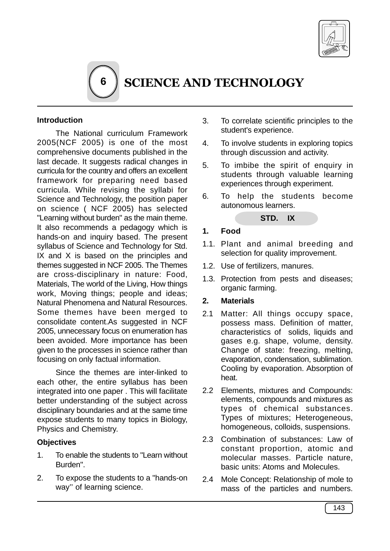

# SCIENCE AND TECHNOLOGY

## **Introduction**

The National curriculum Framework 2005(NCF 2005) is one of the most comprehensive documents published in the last decade. It suggests radical changes in curricula for the country and offers an excellent framework for preparing need based curricula. While revising the syllabi for Science and Technology, the position paper on science ( NCF 2005) has selected "Learning without burden" as the main theme. It also recommends a pedagogy which is hands-on and inquiry based. The present syllabus of Science and Technology for Std. IX and X is based on the principles and themes suggested in NCF 2005. The Themes are cross-disciplinary in nature: Food, Materials, The world of the Living, How things work, Moving things; people and ideas; Natural Phenomena and Natural Resources. Some themes have been merged to consolidate content.As suggested in NCF 2005, unnecessary focus on enumeration has been avoided. More importance has been given to the processes in science rather than focusing on only factual information.

**6**

Since the themes are inter-linked to each other, the entire syllabus has been integrated into one paper . This will facilitate better understanding of the subject across disciplinary boundaries and at the same time expose students to many topics in Biology, Physics and Chemistry.

#### **Objectives**

- 1. To enable the students to "Learn without Burden".
- 2. To expose the students to a "hands-on way'' of learning science.
- 3. To correlate scientific principles to the student's experience.
- 4. To involve students in exploring topics through discussion and activity.
- 5. To imbibe the spirit of enquiry in students through valuable learning experiences through experiment.
- 6. To help the students become autonomous learners.



## **1. Food**

- 1.1. Plant and animal breeding and selection for quality improvement.
- 1.2. Use of fertilizers, manures.
- 1.3. Protection from pests and diseases; organic farming.
- **2. Materials**
- 2.1 Matter: All things occupy space, possess mass. Definition of matter, characteristics of solids, liquids and gases e.g. shape, volume, density. Change of state: freezing, melting, evaporation, condensation, sublimation. Cooling by evaporation. Absorption of heat.
- 2.2 Elements, mixtures and Compounds: elements, compounds and mixtures as types of chemical substances. Types of mixtures; Heterogeneous, homogeneous, colloids, suspensions.
- 2.3 Combination of substances: Law of constant proportion, atomic and molecular masses. Particle nature, basic units: Atoms and Molecules.
- 2.4 Mole Concept: Relationship of mole to mass of the particles and numbers.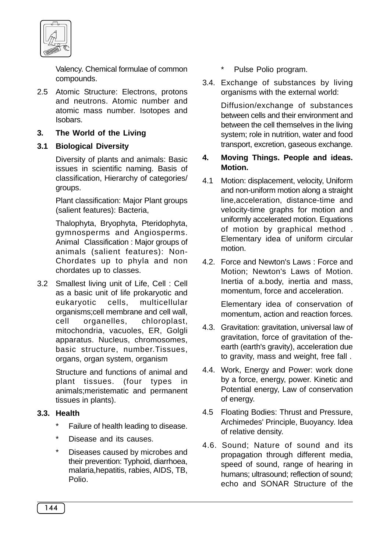

Valency. Chemical formulae of common compounds.

2.5 Atomic Structure: Electrons, protons and neutrons. Atomic number and atomic mass number. Isotopes and Isobars.

# **3. The World of the Living**

# **3.1 Biological Diversity**

Diversity of plants and animals: Basic issues in scientific naming. Basis of classification, Hierarchy of categories/ groups.

Plant classification: Major Plant groups (salient features): Bacteria,

Thalophyta, Bryophyta, Pteridophyta, gymnosperms and Angiosperms. Animal Classification : Major groups of animals (salient features): Non-Chordates up to phyla and non chordates up to classes.

3.2 Smallest living unit of Life, Cell : Cell as a basic unit of life prokaryotic and eukaryotic cells, multicellular organisms;cell membrane and cell wall, cell organelles, chloroplast, mitochondria, vacuoles, ER, Golgli apparatus. Nucleus, chromosomes, basic structure, number.Tissues, organs, organ system, organism

> Structure and functions of animal and plant tissues. (four types in animals;meristematic and permanent tissues in plants).

# **3.3. Health**

- \* Failure of health leading to disease.
- \* Disease and its causes.
- Diseases caused by microbes and their prevention: Typhoid, diarrhoea, malaria,hepatitis, rabies, AIDS, TB, Polio.
- Pulse Polio program.
- 3.4. Exchange of substances by living organisms with the external world:

Diffusion/exchange of substances between cells and their environment and between the cell themselves in the living system; role in nutrition, water and food transport, excretion, gaseous exchange.

## **4. Moving Things. People and ideas. Motion.**

- 4.1 Motion: displacement, velocity, Uniform and non-uniform motion along a straight line,acceleration, distance-time and velocity-time graphs for motion and uniformly accelerated motion. Equations of motion by graphical method . Elementary idea of uniform circular motion.
- 4.2. Force and Newton's Laws : Force and Motion; Newton's Laws of Motion. Inertia of a.body, inertia and mass, momentum, force and acceleration.

Elementary idea of conservation of momentum, action and reaction forces.

- 4.3. Gravitation: gravitation, universal law of gravitation, force of gravitation of theearth (earth's gravity), acceleration due to gravity, mass and weight, free fall .
- 4.4. Work, Energy and Power: work done by a force, energy, power. Kinetic and Potential energy, Law of conservation of energy.
- 4.5 Floating Bodies: Thrust and Pressure, Archimedes' Principle, Buoyancy. Idea of relative density.
- 4.6. Sound; Nature of sound and its propagation through different media, speed of sound, range of hearing in humans; ultrasound; reflection of sound; echo and SONAR Structure of the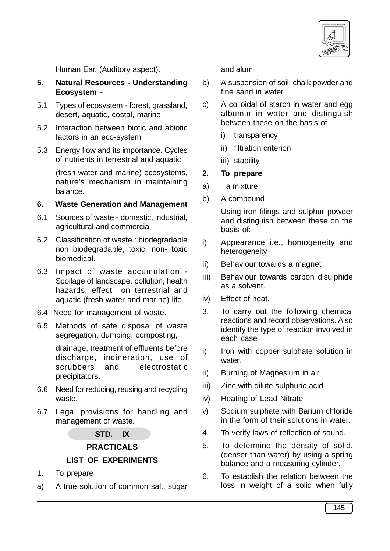

Human Ear. (Auditory aspect).

- **5. Natural Resources Understanding Ecosystem -**
- 5.1 Types of ecosystem forest, grassland, desert, aquatic, costal, marine
- 5.2 Interaction between biotic and abiotic factors in an eco-system
- 5.3 Energy flow and its importance. Cycles of nutrients in terrestrial and aquatic

(fresh water and marine) ecosystems, nature's mechanism in maintaining balance.

#### **6. Waste Generation and Management**

- 6.1 Sources of waste domestic, industrial, agricultural and commercial
- 6.2 Classification of waste : biodegradable non biodegradable, toxic, non- toxic biomedical.
- 6.3 Impact of waste accumulation Spoilage of landscape, pollution, health hazards, effect on terrestrial and aquatic (fresh water and marine) life.
- 6.4 Need for management of waste.
- 6.5 Methods of safe disposal of waste segregation, dumping, composting,

drainage, treatment of effluents before discharge, incineration, use of scrubbers and electrostatic precipitators.

- 6.6 Need for reducing, reusing and recycling waste.
- 6.7 Legal provisions for handling and management of waste.

**STD. IX**

**PRACTICALS**

## **LIST OF EXPERIMENTS**

- 1. To prepare
- a) A true solution of common salt, sugar

and alum

- b) A suspension of soil, chalk powder and fine sand in water
- c) A colloidal of starch in water and egg albumin in water and distinguish between these on the basis of
	- i) transparency
	- ii) filtration criterion
	- iii) stability

## **2. To prepare**

- a) a mixture
- b) A compound

Using iron filings and sulphur powder and distinguish between these on the basis of:

- i) Appearance i.e., homogeneity and heterogeneity
- ii) Behaviour towards a magnet
- iii) Behaviour towards carbon disulphide as a solvent.
- iv) Effect of heat.
- 3. To carry out the following chemical reactions and record observations. Also identify the type of reaction involved in each case
- i) Iron with copper sulphate solution in water.
- ii) Burning of Magnesium in air.
- iii) Zinc with dilute sulphuric acid
- iv) Heating of Lead Nitrate
- v) Sodium sulphate with Barium chloride in the form of their solutions in water.
- 4. To verify laws of reflection of sound.
- 5. To determine the density of solid. (denser than water) by using a spring balance and a measuring cylinder.
- 6. To establish the relation between the loss in weight of a solid when fully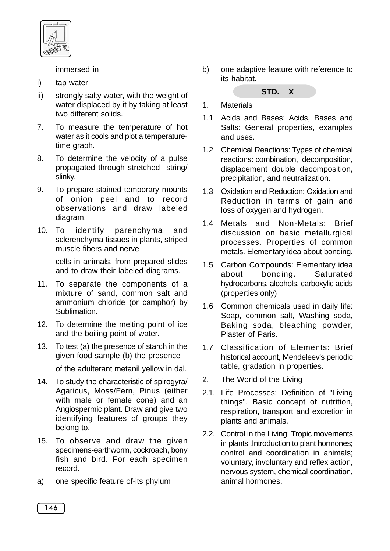

immersed in

- i) tap water
- ii) strongly salty water, with the weight of water displaced by it by taking at least two different solids.
- 7. To measure the temperature of hot water as it cools and plot a temperaturetime graph.
- 8. To determine the velocity of a pulse propagated through stretched string/ slinky.
- 9. To prepare stained temporary mounts of onion peel and to record observations and draw labeled diagram.
- 10. To identify parenchyma and sclerenchyma tissues in plants, striped muscle fibers and nerve

cells in animals, from prepared slides and to draw their labeled diagrams.

- 11. To separate the components of a mixture of sand, common salt and ammonium chloride (or camphor) by Sublimation.
- 12. To determine the melting point of ice and the boiling point of water.
- 13. To test (a) the presence of starch in the given food sample (b) the presence
	- of the adulterant metanil yellow in dal.
- 14. To study the characteristic of spirogyra/ Agaricus, Moss/Fern, Pinus (either with male or female cone) and an Angiospermic plant. Draw and give two identifying features of groups they belong to.
- 15. To observe and draw the given specimens-earthworm, cockroach, bony fish and bird. For each specimen record.
- a) one specific feature of-its phylum

b) one adaptive feature with reference to its habitat.

#### **STD. X**

- 1. Materials
- 1.1 Acids and Bases: Acids, Bases and Salts: General properties, examples and uses.
- 1.2 Chemical Reactions: Types of chemical reactions: combination, decomposition, displacement double decomposition, precipitation, and neutralization.
- 1.3 Oxidation and Reduction: Oxidation and Reduction in terms of gain and loss of oxygen and hydrogen.
- 1.4 Metals and Non-Metals: Brief discussion on basic metallurgical processes. Properties of common metals. Elementary idea about bonding.
- 1.5 Carbon Compounds: Elementary idea about bonding. Saturated hydrocarbons, alcohols, carboxylic acids (properties only)
- 1.6 Common chemicals used in daily life: Soap, common salt, Washing soda, Baking soda, bleaching powder, Plaster of Paris.
- 1.7 Classification of Elements: Brief historical account, Mendeleev's periodic table, gradation in properties.
- 2. The World of the Living
- 2.1. Life Processes: Definition of "Living things". Basic concept of nutrition, respiration, transport and excretion in plants and animals.
- 2.2. Control in the Living: Tropic movements in plants .Introduction to plant hormones; control and coordination in animals; voluntary, involuntary and reflex action, nervous system, chemical coordination, animal hormones.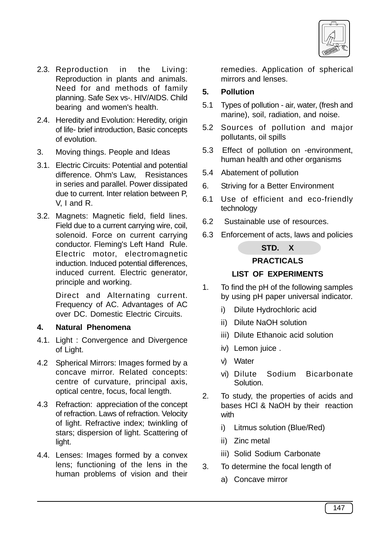

- 2.3. Reproduction in the Living: Reproduction in plants and animals. Need for and methods of family planning. Safe Sex vs-. HIV/AIDS. Child bearing and women's health.
- 2.4. Heredity and Evolution: Heredity, origin of life- brief introduction, Basic concepts of evolution.
- 3. Moving things. People and Ideas
- 3.1. Electric Circuits: Potential and potential difference. Ohm's Law, Resistances in series and parallel. Power dissipated due to current. Inter relation between P, V, I and R.
- 3.2. Magnets: Magnetic field, field lines. Field due to a current carrying wire, coil, solenoid. Force on current carrying conductor. Fleming's Left Hand Rule. Electric motor, electromagnetic induction. Induced potential differences, induced current. Electric generator, principle and working.

Direct and Alternating current. Frequency of AC. Advantages of AC over DC. Domestic Electric Circuits.

## **4. Natural Phenomena**

- 4.1. Light : Convergence and Divergence of Light.
- 4.2 Spherical Mirrors: Images formed by a concave mirror. Related concepts: centre of curvature, principal axis, optical centre, focus, focal length.
- 4.3 Refraction: appreciation of the concept of refraction. Laws of refraction. Velocity of light. Refractive index; twinkling of stars; dispersion of light. Scattering of light.
- 4.4. Lenses: Images formed by a convex lens; functioning of the lens in the human problems of vision and their

remedies. Application of spherical mirrors and lenses.

## **5. Pollution**

- 5.1 Types of pollution air, water, (fresh and marine), soil, radiation, and noise.
- 5.2 Sources of pollution and major pollutants, oil spills
- 5.3 Effect of pollution on -environment, human health and other organisms
- 5.4 Abatement of pollution
- 6. Striving for a Better Environment
- 6.1 Use of efficient and eco-friendly technology
- 6.2 Sustainable use of resources.
- 6.3 Enforcement of acts, laws and policies

## **STD. X**

## **PRACTICALS**

## **LIST OF EXPERIMENTS**

- 1. To find the pH of the following samples by using pH paper universal indicator.
	- i) Dilute Hydrochloric acid
	- ii) Dilute NaOH solution
	- iii) Dilute Ethanoic acid solution
	- iv) Lemon juice .
	- v) Water
	- vi) Dilute Sodium Bicarbonate Solution.
- 2. To study, the properties of acids and bases HCl & NaOH by their reaction with
	- i) Litmus solution (Blue/Red)
	- ii) Zinc metal
	- iii) Solid Sodium Carbonate
- 3. To determine the focal length of
	- a) Concave mirror